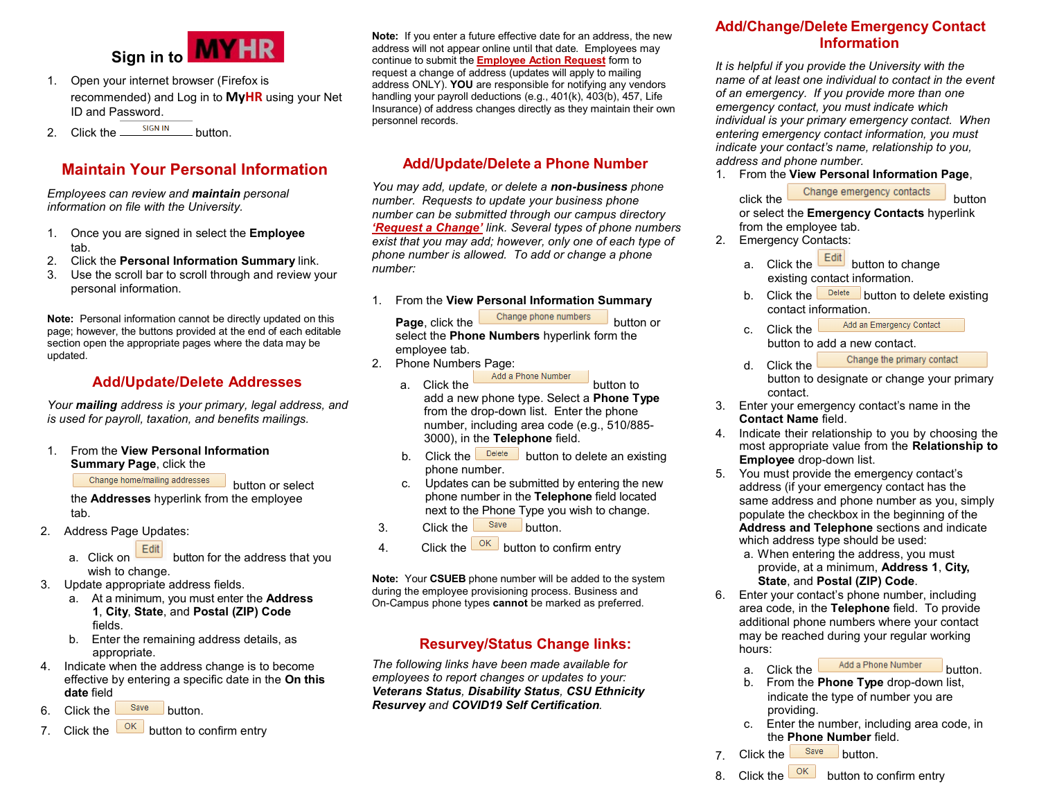

- 1. Open your internet browser (Firefox is recommended) and Log in to **[MyHR](https://www.csueastbay.edu/myhr/)** using your Net ID and Password.
- 2. Click the  $\frac{\text{sign in}}{\text{sign of the}}$  button.

# **Maintain Your Personal Information**

*Employees can review and maintain personal information on file with the University.*

- 1. Once you are signed in select the **Employee** tab.
- 2. Click the **Personal Information Summary** link.
- 3. Use the scroll bar to scroll through and review your personal information.

**Note:** Personal information cannot be directly updated on this page; however, the buttons provided at the end of each editable section open the appropriate pages where the data may be updated.

#### **Add/Update/Delete Addresses**

*Your mailing address is your primary, legal address, and is used for payroll, taxation, and benefits mailings.* 

1. From the **View Personal Information Summary Page**, click the

Change home/mailing addresses

button or select the **Addresses** hyperlink from the employee tab.

- 2. Address Page Updates:
	- a. Click on **button** for the address that you wish to change.
- 3. Update appropriate address fields.
	- a. At a minimum, you must enter the **Address 1**, **City**, **State**, and **Postal (ZIP) Code** fields.
	- b. Enter the remaining address details, as appropriate.
- 4. Indicate when the address change is to become effective by entering a specific date in the **On this date** field
- 6. Click the  $\frac{\text{Save}}{\text{between}}$  button.
- 7. Click the  $\frac{OK}{OK}$  button to confirm entry

**Note:** If you enter a future effective date for an address, the new address will not appear online until that date. Employees may continue to submit the **[Employee Action](https://sign.csueastbay.edu/) Request** form to request a change of address (updates will apply to mailing address ONLY). **YOU** are responsible for notifying any vendors handling your payroll deductions (e.g., 401(k), 403(b), 457, Life Insurance) of address changes directly as they maintain their own personnel records.

#### **Add/Update/Delete a Phone Number**

*You may add, update, or delete a non-business phone number. Requests to update your business phone number can be submitted through our campus directory ['Request a Change'](https://lwa1.csueastbay.edu/staffdir/) link. Several types of phone numbers exist that you may add; however, only one of each type of phone number is allowed. To add or change a phone number:*

1. From the **View Personal Information Summary** 

**Page**, click the **Change** phone numbers button or select the **Phone Numbers** hyperlink form the employee tab.

- 2. Phone Numbers Page:
	- a. Click the **Add** a Phone Number button to add a new phone type. Select a **Phone Type** from the drop-down list. Enter the phone number, including area code (e.g., 510/885- 3000), in the **Telephone** field.
	- b. Click the  $\Box$  button to delete an existing phone number.
	- c. Updates can be submitted by entering the new phone number in the **Telephone** field located next to the Phone Type you wish to change.
- 3. Click the <sup>Save</sup> button.
- 4. Click the  $\frac{OK}{V}$  button to confirm entry

**Note:** Your **CSUEB** phone number will be added to the system during the employee provisioning process. Business and On-Campus phone types **cannot** be marked as preferred.

#### **Resurvey/Status Change links:**

*The following links have been made available for employees to report changes or updates to your: Veterans Status, Disability Status, CSU Ethnicity Resurvey and COVID19 Self Certification.* 

#### **Add/Change/Delete Emergency Contact Information**

*It is helpful if you provide the University with the name of at least one individual to contact in the event of an emergency. If you provide more than one emergency contact, you must indicate which individual is your primary emergency contact. When entering emergency contact information, you must indicate your contact's name, relationship to you, address and phone number.* 

1. From the **View Personal Information Page**,

click the **Change emergency contacts** button

or select the **Emergency Contacts** hyperlink from the employee tab.

- 2. Emergency Contacts:
	- a. Click the  $\frac{[Edit]}{[But]}$  button to change existing contact information.
	- b. Click the  $\sqrt{\frac{Delta}{C}}$  button to delete existing contact information.
	- Add an Emergency Contact c. Click the

button to add a new contact.

- d. Click the Change the primary contact button to designate or change your primary contact.
- 3. Enter your emergency contact's name in the **Contact Name** field.
- 4. Indicate their relationship to you by choosing the most appropriate value from the **Relationship to Employee** drop-down list.
- 5. You must provide the emergency contact's address (if your emergency contact has the same address and phone number as you, simply populate the checkbox in the beginning of the **Address and Telephone** sections and indicate which address type should be used:
	- a. When entering the address, you must provide, at a minimum, **Address 1**, **City, State**, and **Postal (ZIP) Code**.
- 6. Enter your contact's phone number, including area code, in the **Telephone** field. To provide additional phone numbers where your contact may be reached during your regular working hours:
	- a. Click the **Add** a Phone Number button.
	- b. From the **Phone Type** drop-down list, indicate the type of number you are providing.
	- c. Enter the number, including area code, in the **Phone Number** field.
- 7. Click the save button.
- 8. Click the  $\frac{OK}{OK}$  button to confirm entry